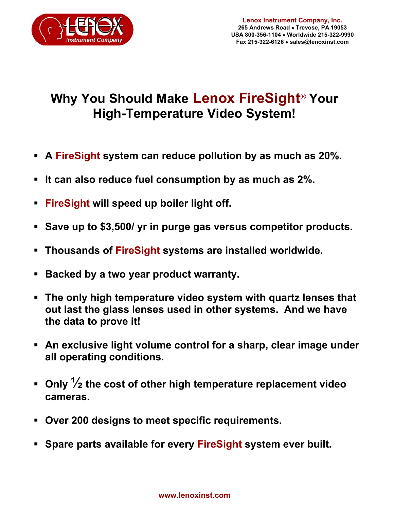

## **Why You Should Make Lenox FireSight<sup>®</sup> Your High-Temperature Video System!**

- **A FireSight system can reduce pollution by as much as 20%.**
- **It can also reduce fuel consumption by as much as 2%.**
- **FireSight will speed up boiler light off.**
- **Save up to \$3,500/ yr in purge gas versus competitor products.**
- **Thousands of FireSight systems are installed worldwide.**
- **Backed by a two year product warranty.**
- **The only high temperature video system with quartz lenses that out last the glass lenses used in other systems. And we have the data to prove it!**
- **An exclusive light volume control for a sharp, clear image under all operating conditions.**
- **Only ½ the cost of other high temperature replacement video cameras.**
- **Over 200 designs to meet specific requirements.**
- **Spare parts available for every FireSight system ever built.**